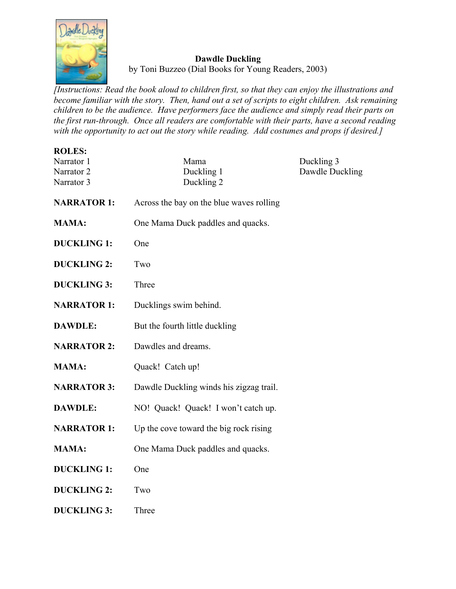

## **Dawdle Duckling**

by Toni Buzzeo (Dial Books for Young Readers, 2003)

*[Instructions: Read the book aloud to children first, so that they can enjoy the illustrations and become familiar with the story. Then, hand out a set of scripts to eight children. Ask remaining children to be the audience. Have performers face the audience and simply read their parts on the first run-through. Once all readers are comfortable with their parts, have a second reading with the opportunity to act out the story while reading. Add costumes and props if desired.]*

| <b>ROLES:</b><br>Narrator 1<br>Narrator <sub>2</sub><br>Narrator 3 | Mama<br>Duckling 1<br>Duckling 2         | Duckling 3<br>Dawdle Duckling |
|--------------------------------------------------------------------|------------------------------------------|-------------------------------|
| <b>NARRATOR 1:</b>                                                 | Across the bay on the blue waves rolling |                               |
| <b>MAMA:</b>                                                       | One Mama Duck paddles and quacks.        |                               |
| <b>DUCKLING 1:</b>                                                 | One                                      |                               |
| <b>DUCKLING 2:</b>                                                 | Two                                      |                               |
| <b>DUCKLING 3:</b>                                                 | Three                                    |                               |
| <b>NARRATOR 1:</b>                                                 | Ducklings swim behind.                   |                               |
| <b>DAWDLE:</b>                                                     | But the fourth little duckling           |                               |
| <b>NARRATOR 2:</b>                                                 | Dawdles and dreams.                      |                               |
| <b>MAMA:</b>                                                       | Quack! Catch up!                         |                               |
| <b>NARRATOR 3:</b>                                                 | Dawdle Duckling winds his zigzag trail.  |                               |
| <b>DAWDLE:</b>                                                     | NO! Quack! Quack! I won't catch up.      |                               |
| <b>NARRATOR 1:</b>                                                 | Up the cove toward the big rock rising   |                               |
| <b>MAMA:</b>                                                       | One Mama Duck paddles and quacks.        |                               |
| <b>DUCKLING 1:</b>                                                 | One                                      |                               |
| <b>DUCKLING 2:</b>                                                 | Two                                      |                               |
| <b>DUCKLING 3:</b>                                                 | Three                                    |                               |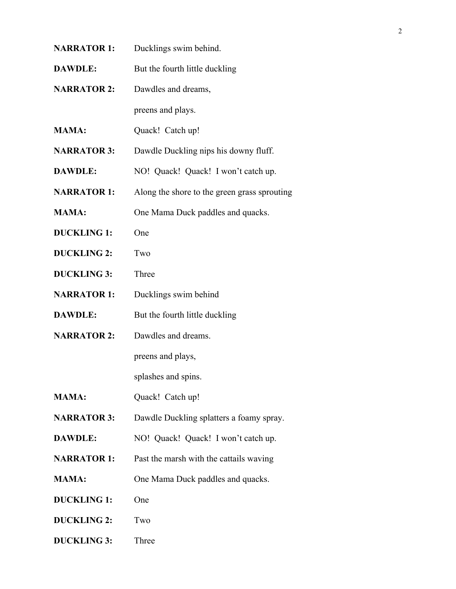**NARRATOR 1:** Ducklings swim behind. **DAWDLE:** But the fourth little duckling **NARRATOR 2:** Dawdles and dreams, preens and plays. **MAMA:** Quack! Catch up! **NARRATOR 3:** Dawdle Duckling nips his downy fluff. **DAWDLE:** NO! Quack! Quack! I won't catch up. **NARRATOR 1:** Along the shore to the green grass sprouting **MAMA:** One Mama Duck paddles and quacks. **DUCKLING 1:** One **DUCKLING 2:** Two **DUCKLING 3:** Three **NARRATOR 1:** Ducklings swim behind **DAWDLE:** But the fourth little duckling **NARRATOR 2:** Dawdles and dreams. preens and plays, splashes and spins. **MAMA:** Quack! Catch up! **NARRATOR 3:** Dawdle Duckling splatters a foamy spray. **DAWDLE:** NO! Quack! Quack! I won't catch up. **NARRATOR 1:** Past the marsh with the cattails waving **MAMA:** One Mama Duck paddles and quacks. **DUCKLING 1:** One **DUCKLING 2:** Two **DUCKLING 3:** Three